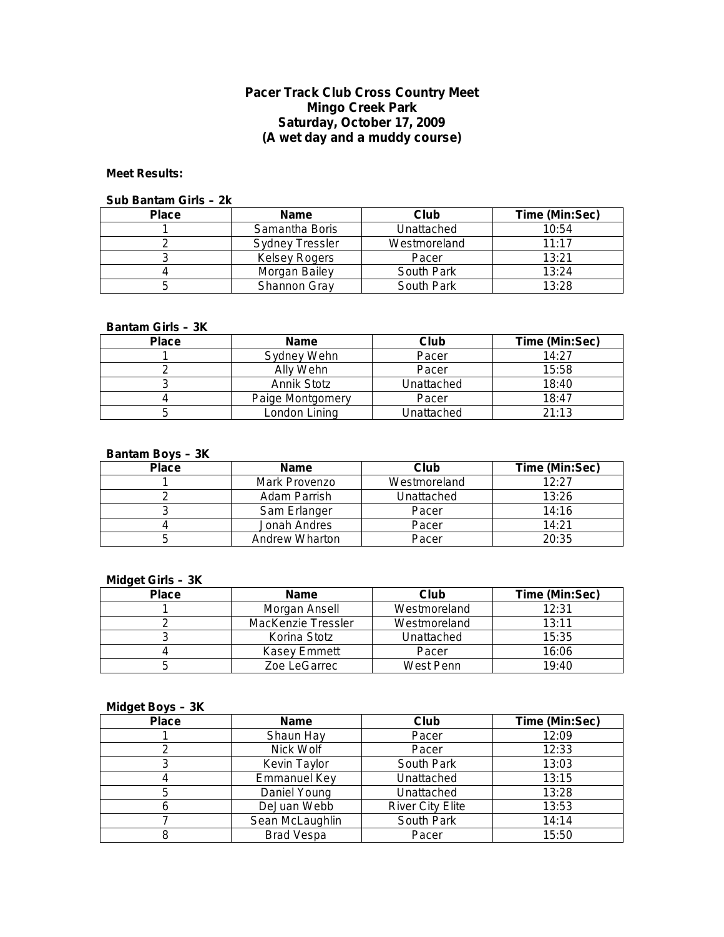## **Pacer Track Club Cross Country Meet Mingo Creek Park Saturday, October 17, 2009 (A wet day and a muddy course)**

### **Meet Results:**

#### **Sub Bantam Girls – 2k**

| <b>Place</b> | <b>Name</b>            | Club         | Time (Min:Sec) |
|--------------|------------------------|--------------|----------------|
|              | Samantha Boris         | Unattached   | 10:54          |
|              | <b>Sydney Tressler</b> | Westmoreland | 11:17          |
|              | Kelsey Rogers          | Pacer        | 13:21          |
|              | Morgan Bailey          | South Park   | 13:24          |
|              | Shannon Gray           | South Park   | 13:28          |

### **Bantam Girls – 3K**

| <b>Place</b> | <b>Name</b>      | Club       | Time (Min:Sec) |
|--------------|------------------|------------|----------------|
|              | Sydney Wehn      | Pacer      | 14:27          |
|              | Ally Wehn        | Pacer      | 15:58          |
|              | Annik Stotz      | Unattached | 18:40          |
|              | Paige Montgomery | Pacer      | 18:47          |
|              | London Lining    | Unattached | 21:13          |

#### **Bantam Boys – 3K**

| <b>Place</b> | <b>Name</b>    | Club         | Time (Min:Sec) |
|--------------|----------------|--------------|----------------|
|              | Mark Provenzo  | Westmoreland | 12:27          |
|              | Adam Parrish   | Unattached   | 13:26          |
|              | Sam Erlanger   | Pacer        | 14:16          |
|              | Jonah Andres   | Pacer        | 14:21          |
|              | Andrew Wharton | Pacer        | 20:35          |

## **Midget Girls – 3K**

| <b>Place</b> | <b>Name</b>        | Club         | Time (Min:Sec) |
|--------------|--------------------|--------------|----------------|
|              | Morgan Ansell      | Westmoreland | 12:31          |
|              | MacKenzie Tressler | Westmoreland | 13:11          |
|              | Korina Stotz       | Unattached   | 15:35          |
|              | Kasey Emmett       | Pacer        | 16:06          |
|              | Zoe LeGarrec       | West Penn    | 19:40          |

#### **Midget Boys – 3K**

| <b>Place</b> | <b>Name</b>         | Club                    | Time (Min:Sec) |
|--------------|---------------------|-------------------------|----------------|
|              | Shaun Hay           | Pacer                   | 12:09          |
|              | Nick Wolf           | Pacer                   | 12:33          |
|              | Kevin Taylor        | South Park              | 13:03          |
|              | <b>Emmanuel Key</b> | Unattached              | 13:15          |
|              | Daniel Young        | Unattached              | 13:28          |
|              | DeJuan Webb         | <b>River City Elite</b> | 13:53          |
|              | Sean McLaughlin     | South Park              | 14:14          |
|              | <b>Brad Vespa</b>   | Pacer                   | 15:50          |